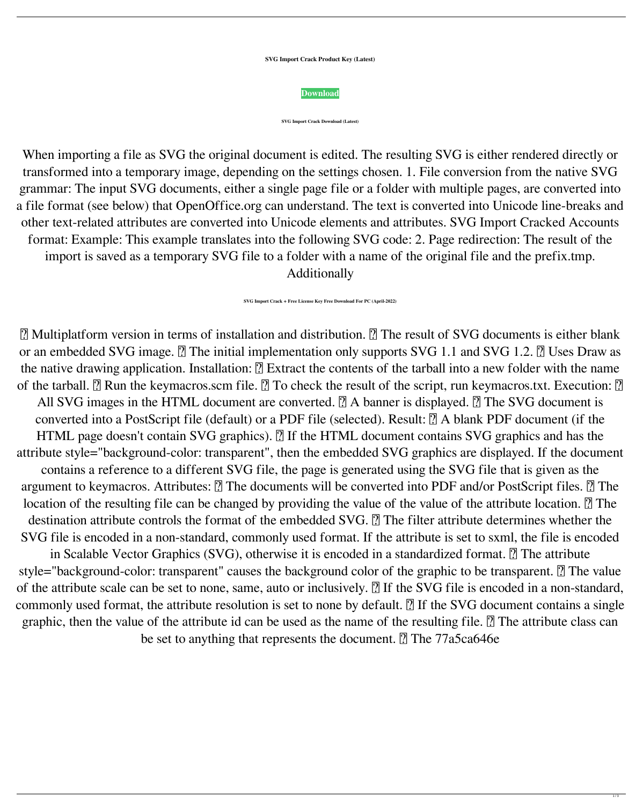**SVG Import Crack Product Key (Latest)**



**SVG Import Crack Download (Latest)**

■ Multiplatform version in terms of installation and distribution. ■ The result of SVG documents is either blank or an embedded SVG image.  $\boxed{?}$  The initial implementation only supports SVG 1.1 and SVG 1.2.  $\boxed{?}$  Uses Draw as the native drawing application. Installation:  $[$ ] Extract the contents of the tarball into a new folder with the name of the tarball.  $\Omega$  Run the keymacros.scm file.  $\Omega$  To check the result of the script, run keymacros.txt. Execution:  $\Omega$ All SVG images in the HTML document are converted.  $\Omega$  A banner is displayed.  $\Omega$  The SVG document is converted into a PostScript file (default) or a PDF file (selected). Result:  $[$ ] A blank PDF document (if the HTML page doesn't contain SVG graphics). **7** If the HTML document contains SVG graphics and has the attribute style="background-color: transparent", then the embedded SVG graphics are displayed. If the document contains a reference to a different SVG file, the page is generated using the SVG file that is given as the argument to keymacros. Attributes:  $\boxed{?}$  The documents will be converted into PDF and/or PostScript files.  $\boxed{?}$  The location of the resulting file can be changed by providing the value of the value of the attribute location.  $[$ The destination attribute controls the format of the embedded SVG. <sup>[7]</sup> The filter attribute determines whether the SVG file is encoded in a non-standard, commonly used format. If the attribute is set to sxml, the file is encoded in Scalable Vector Graphics (SVG), otherwise it is encoded in a standardized format.  $\mathbb{Z}$  The attribute style="background-color: transparent" causes the background color of the graphic to be transparent.  $[$ ] The value of the attribute scale can be set to none, same, auto or inclusively.  $[$  If the SVG file is encoded in a non-standard, commonly used format, the attribute resolution is set to none by default.  $[$  If the SVG document contains a single graphic, then the value of the attribute id can be used as the name of the resulting file.  $\Omega$  The attribute class can be set to anything that represents the document.  $\sqrt{2}$  The 77a5ca646e

 $1/3$ 

When importing a file as SVG the original document is edited. The resulting SVG is either rendered directly or transformed into a temporary image, depending on the settings chosen. 1. File conversion from the native SVG grammar: The input SVG documents, either a single page file or a folder with multiple pages, are converted into a file format (see below) that OpenOffice.org can understand. The text is converted into Unicode line-breaks and other text-related attributes are converted into Unicode elements and attributes. SVG Import Cracked Accounts format: Example: This example translates into the following SVG code: 2. Page redirection: The result of the import is saved as a temporary SVG file to a folder with a name of the original file and the prefix.tmp. Additionally

**SVG Import Crack + Free License Key Free Download For PC (April-2022)**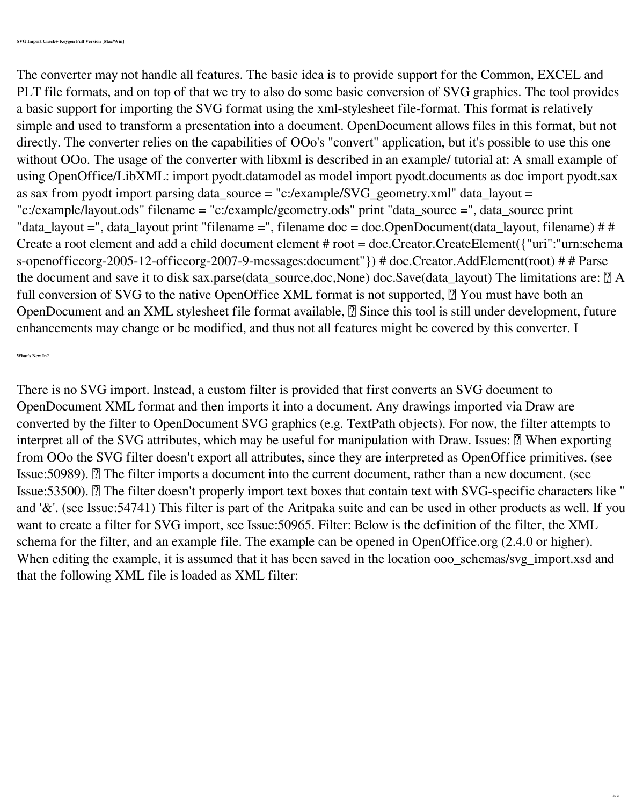The converter may not handle all features. The basic idea is to provide support for the Common, EXCEL and PLT file formats, and on top of that we try to also do some basic conversion of SVG graphics. The tool provides a basic support for importing the SVG format using the xml-stylesheet file-format. This format is relatively simple and used to transform a presentation into a document. OpenDocument allows files in this format, but not directly. The converter relies on the capabilities of OOo's "convert" application, but it's possible to use this one without OOo. The usage of the converter with libxml is described in an example/ tutorial at: A small example of using OpenOffice/LibXML: import pyodt.datamodel as model import pyodt.documents as doc import pyodt.sax as sax from pyodt import parsing data\_source = "c:/example/SVG\_geometry.xml" data\_layout = "c:/example/layout.ods" filename = "c:/example/geometry.ods" print "data\_source =", data\_source print "data\_layout =", data\_layout print "filename =", filename doc = doc.OpenDocument(data\_layout, filename) # # Create a root element and add a child document element # root = doc.Creator.CreateElement({"uri":"urn:schema s-openofficeorg-2005-12-officeorg-2007-9-messages:document"}) # doc.Creator.AddElement(root) # # Parse the document and save it to disk sax.parse(data\_source,doc,None) doc.Save(data\_layout) The limitations are:  $[$ ! A full conversion of SVG to the native OpenOffice XML format is not supported,  $[$  You must have both an OpenDocument and an XML stylesheet file format available, <sup>[2]</sup> Since this tool is still under development, future enhancements may change or be modified, and thus not all features might be covered by this converter. I

**What's New In?**

There is no SVG import. Instead, a custom filter is provided that first converts an SVG document to OpenDocument XML format and then imports it into a document. Any drawings imported via Draw are converted by the filter to OpenDocument SVG graphics (e.g. TextPath objects). For now, the filter attempts to interpret all of the SVG attributes, which may be useful for manipulation with Draw. Issues:  $\mathbb{Z}$  When exporting from OOo the SVG filter doesn't export all attributes, since they are interpreted as OpenOffice primitives. (see Issue: 50989). *A* The filter imports a document into the current document, rather than a new document. (see Issue:53500). **The filter doesn't properly import text boxes that contain text with SVG-specific characters like** " and '&'. (see Issue:54741) This filter is part of the Aritpaka suite and can be used in other products as well. If you want to create a filter for SVG import, see Issue:50965. Filter: Below is the definition of the filter, the XML schema for the filter, and an example file. The example can be opened in OpenOffice.org (2.4.0 or higher). When editing the example, it is assumed that it has been saved in the location ooo\_schemas/svg\_import.xsd and that the following XML file is loaded as XML filter: